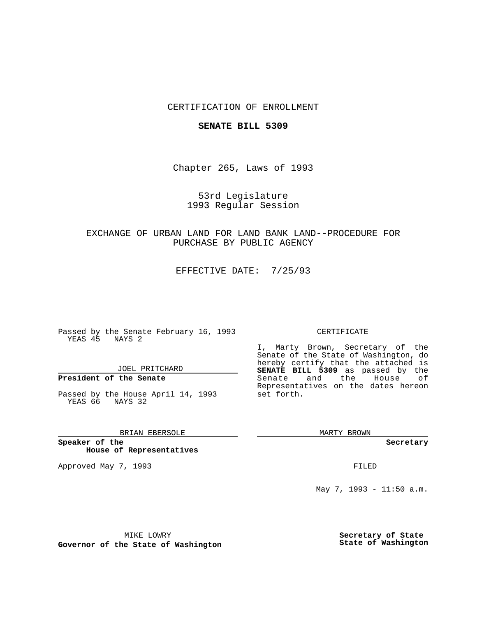## CERTIFICATION OF ENROLLMENT

#### **SENATE BILL 5309**

Chapter 265, Laws of 1993

53rd Legislature 1993 Regular Session

EXCHANGE OF URBAN LAND FOR LAND BANK LAND--PROCEDURE FOR PURCHASE BY PUBLIC AGENCY

EFFECTIVE DATE: 7/25/93

Passed by the Senate February 16, 1993 YEAS 45 NAYS 2

JOEL PRITCHARD

# **President of the Senate**

Passed by the House April 14, 1993 YEAS 66 NAYS 32

### BRIAN EBERSOLE

**Speaker of the House of Representatives**

Approved May 7, 1993 **FILED** 

#### CERTIFICATE

I, Marty Brown, Secretary of the Senate of the State of Washington, do hereby certify that the attached is **SENATE BILL 5309** as passed by the Senate and the House of Representatives on the dates hereon set forth.

MARTY BROWN

**Secretary**

May 7, 1993 - 11:50 a.m.

MIKE LOWRY

**Governor of the State of Washington**

**Secretary of State State of Washington**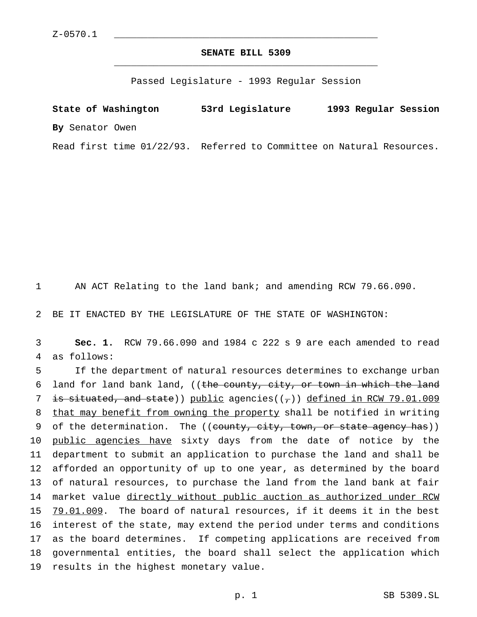# **SENATE BILL 5309** \_\_\_\_\_\_\_\_\_\_\_\_\_\_\_\_\_\_\_\_\_\_\_\_\_\_\_\_\_\_\_\_\_\_\_\_\_\_\_\_\_\_\_\_\_\_\_

Passed Legislature - 1993 Regular Session

**State of Washington 53rd Legislature 1993 Regular Session By** Senator Owen Read first time 01/22/93. Referred to Committee on Natural Resources.

1 AN ACT Relating to the land bank; and amending RCW 79.66.090.

2 BE IT ENACTED BY THE LEGISLATURE OF THE STATE OF WASHINGTON:

3 **Sec. 1.** RCW 79.66.090 and 1984 c 222 s 9 are each amended to read 4 as follows:

5 If the department of natural resources determines to exchange urban 6 land for land bank land, ((the county, city, or town in which the land 7 is situated, and state)) public agencies( $(\tau)$ ) defined in RCW 79.01.009 8 that may benefit from owning the property shall be notified in writing 9 of the determination. The ((county, city, town, or state agency has)) 10 public agencies have sixty days from the date of notice by the 11 department to submit an application to purchase the land and shall be 12 afforded an opportunity of up to one year, as determined by the board 13 of natural resources, to purchase the land from the land bank at fair 14 market value directly without public auction as authorized under RCW 15 79.01.009. The board of natural resources, if it deems it in the best 16 interest of the state, may extend the period under terms and conditions 17 as the board determines. If competing applications are received from 18 governmental entities, the board shall select the application which 19 results in the highest monetary value.